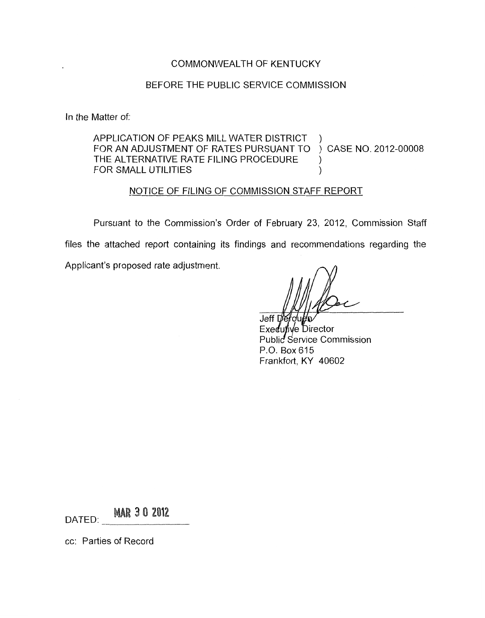### COMMONWEALTH OF KENTUCKY

#### BEFORE THE PUBLIC SERVICE COMMISSION

In the Matter of:

APPLICATION OF PEAKS MILL WATER DISTRICT THE ALTERNATIVE RATE FILING PROCEDURE CASE NO. 2012-00008 ) FOR AN ADJUSTMENT OF RATES PURSUANT TO FOR SMALL UTILITIES (1999)

#### NOTICE OF FILING OF COMMISSION STAFF REPORT

Pursuant to the Commission's Order of February 23, 2012, Commission Staff files the attached report containing its findings and recommendations regarding the Applicant's proposed rate adjustment.

Jeff L Fxedu ive Director Public Service Commission P.O. Box 615 Frankfort, KY 40602

**MAR 3 0 2012** DATED:

cc: Parties of Record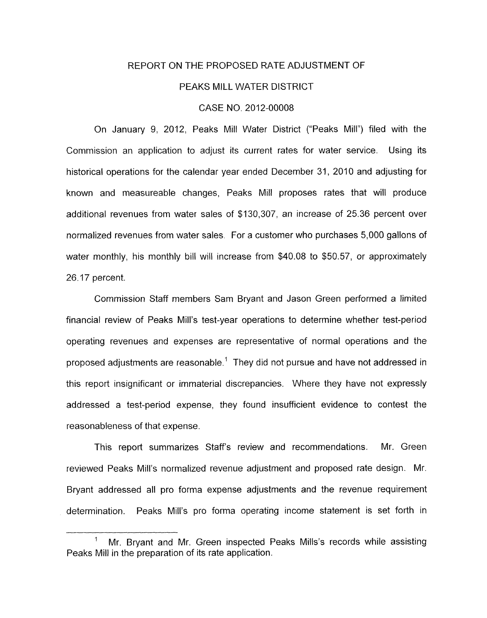#### REPORT ON THE PROPOSED RATE ADJUSTMENT OF

#### PEAKS MILL WATER DISTRICT

#### CASE NO. 2012-00008

On January 9, 2012, Peaks Mill Water District ("Peaks Mill") filed with the Commission an application to adjust its current rates for water service. Using its historical operations for the calendar year ended December 31, 2010 and adjusting for known and measureable changes, Peaks Mill proposes rates that will produce additional revenues from water sales of \$130,307, an increase of 25.36 percent over normalized revenues from water sales. For a customer who purchases 5,000 gallons of water monthly, his monthly bill will increase from \$40.08 to \$50.57, or approximately 26.17 percent.

Commission Staff members Sam Bryant and Jason Green performed a limited financial review of Peaks Mill's test-year operations to determine whether test-period operating revenues and expenses are representative of normal operations and the proposed adjustments are reasonable.' They did not pursue and have not addressed in this report insignificant or immaterial discrepancies. Where they have not expressly addressed a test-period expense, they found insufficient evidence to contest the reasonableness of that expense.

This report summarizes Staff's review and recommendations. Mr. Green reviewed Peaks Mill's normalized revenue adjustment and proposed rate design. Mr. Bryant addressed all pro forma expense adjustments and the revenue requirement determination. Peaks Mill's pro forma operating income statement is set forth in

Mr. Bryant and Mr. Green inspected Peaks Mills's records while assisting Peaks Mill in the preparation of its rate application.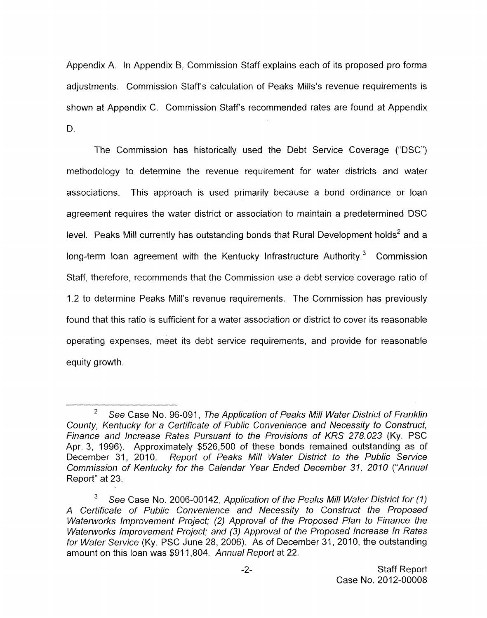Appendix A. In Appendix B, Commission Staff explains each of its proposed pro forma adjustments. Commission Staff's calculation of Peaks Mills's revenue requirements is shown at Appendix C. Commission Staffs recommended rates are found at Appendix D.

The Commission has historically used the Debt Service Coverage ("DSC") methodology to determine the revenue requirement for water districts and water associations, This approach is used primarily because a bond ordinance or loan agreement requires the water district or association to maintain a predetermined DSC level. Peaks Mill currently has outstanding bonds that Rural Development holds<sup>2</sup> and a long-term loan agreement with the Kentucky Infrastructure Authority.<sup>3</sup> Commission Staff, therefore, recommends that the Commission use a debt service coverage ratio of 1.2 to determine Peaks Mill's revenue requirements. The Commission has previously found that this ratio is sufficient for a water association or district to cover its reasonable operating expenses, meet its debt service requirements, and provide for reasonable equity growth.

 $\overline{2}$ *See* Case No. 96-091, *The Application of Peaks Mill Water District of Franklin County, Kentucky for a Certificate of Public Convenience and Necessity to Construct, Finance and Increase Rates Pursuant to the Provisions of KRS 278.023* (Ky. PSC Apr. 3, 1996). Approximately \$526,500 of these bonds remained outstanding as of December 31, 2010. *Report of Peaks Mill Water District to the Public Service Commission of Kentucky for the Calendar Year Ended December 31, 2010 ("Annual*  Report" at 23.

<sup>3</sup> *See* Case No. 2006-00142, *Application of the Peaks Mill Water District for (I) A Certificate of Public Convenience and Necessity to Construct the Proposed Waterworks Improvement Project; (2) Approval of the Proposed Plan to Finance the Waterworks Improvement Project; and (3) Approval of the Proposed Increase In Rates for Water Service* (Ky. PSC June 28, 2006). As of December 31 , 2010, the outstanding amount on this loan was \$91 1,804. *Annual Report* at 22.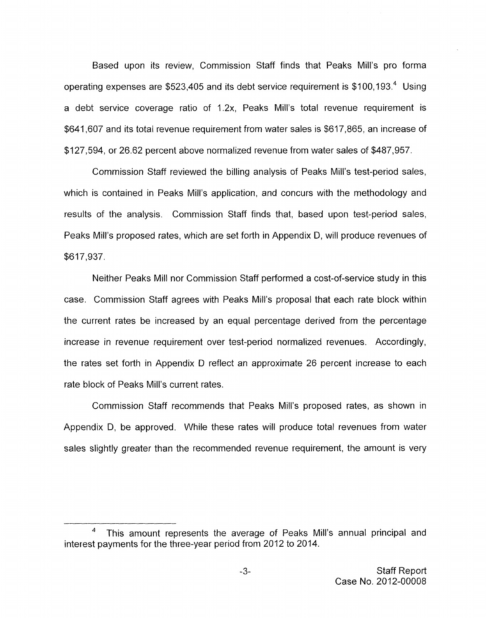Based upon its review, Commission Staff finds that Peaks Mill's pro forma operating expenses are \$523,405 and its debt service requirement is  $$100, 193<sup>4</sup>$  Using a debt service coverage ratio of 1.2x, Peaks Mill's total revenue requirement is \$641,607 and its total revenue requirement from water sales is \$617,865, an increase of \$127,594, or 26.62 percent above normalized revenue from water sales of \$487,957.

Commission Staff reviewed the billing analysis of Peaks Mill's test-period sales, which is contained in Peaks Mill's application, and concurs with the methodology and results of the analysis, Commission Staff finds that, based upon test-period sales, Peaks Mill's proposed rates, which are set forth in Appendix D, will produce revenues of \$617,937.

Neither Peaks Mill nor Commission Staff performed a cost-of-service study in this case. Commission Staff agrees with Peaks Mill's proposal that each rate block within the current rates be increased by an equal percentage derived from the percentage increase in revenue requirement over test-period normalized revenues. Accordingly, the rates set forth in Appendix D reflect an approximate 26 percent increase to each rate block of Peaks Mill's current rates.

Commission Staff recommends that Peaks Mill's proposed rates, as shown in Appendix D, be approved. While these rates will produce total revenues from water sales slightly greater than the recommended revenue requirement, the amount is very

 $\pmb{4}$ This amount represents the average of Peaks Mill's annual principal and interest payments for the three-year period from 2012 to 2014.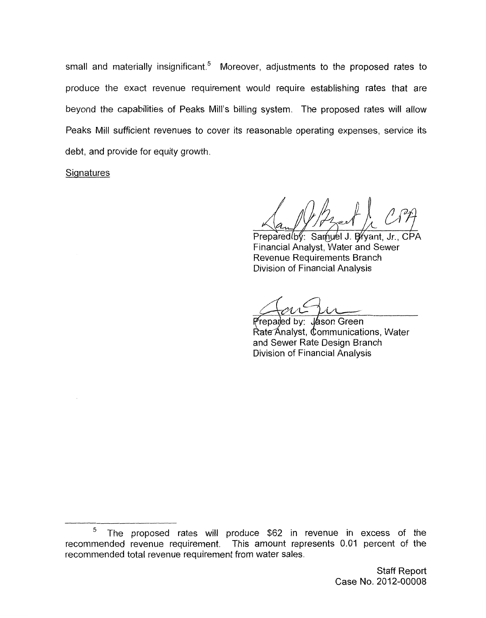small and materially insignificant.<sup>5</sup> Moreover, adjustments to the proposed rates to produce the exact revenue requirement would require establishing rates that are beyond the capabilities of Peaks Mill's billing system. The proposed rates will allow Peaks Mill sufficient revenues to cover its reasonable operating expenses, service its debt, and provide for equity growth.

**Signatures** 

Prepared by: Samuel J. Bryant, Jr., CPA Financial Analyst, Water and Sewer Revenue Requirements Branch Division of Financial Analysis

Preparled by: Jason Green Rate Analyst, Communications, Water and Sewer Rate Design Branch Division of Financial Analysis

 $\,$  5  $\,$ The proposed rates will produce \$62 in revenue in excess of the recommended revenue requirement. This amount represents 0.01 percent of the recommended total revenue requirement from water sales.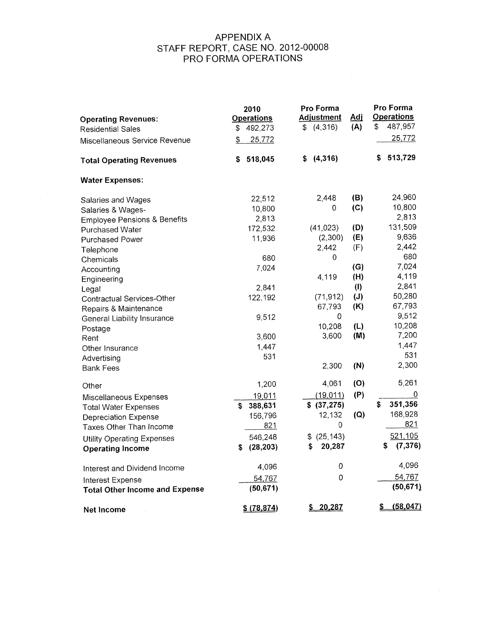# APPENDIX A PRO FORMA OPERATIONS STAFF REPORT, CASE NO. 2012-00008

 $\Delta \sim 1$ 

| <b>Operating Revenues:</b>              | 2010<br><b>Operations</b> | Pro Forma<br><b>Adjustment</b> | <u>Adi</u> | Pro Forma<br><b>Operations</b> |
|-----------------------------------------|---------------------------|--------------------------------|------------|--------------------------------|
| <b>Residential Sales</b>                | 492,273<br>\$             | \$(4,316)                      | (A)        | 487,957<br>\$                  |
| Miscellaneous Service Revenue           | 25,772<br>\$              |                                |            | 25,772                         |
| <b>Total Operating Revenues</b>         | 518,045<br>\$             | (4, 316)<br>\$                 |            | 513,729<br>\$                  |
| <b>Water Expenses:</b>                  |                           |                                |            |                                |
| Salaries and Wages                      | 22,512                    | 2,448                          | (B)        | 24,960                         |
| Salaries & Wages-                       | 10,800                    | 0                              | (C)        | 10,800                         |
| <b>Employee Pensions &amp; Benefits</b> | 2,813                     |                                |            | 2,813                          |
| <b>Purchased Water</b>                  | 172,532                   | (41, 023)                      | (D)        | 131,509                        |
| Purchased Power                         | 11,936                    | (2,300)                        | (E)        | 9,636                          |
| Telephone                               |                           | 2,442                          | (F)        | 2,442                          |
| Chemicals                               | 680                       | 0                              |            | 680                            |
| Accounting                              | 7,024                     |                                | (G)        | 7,024                          |
| Engineering                             |                           | 4,119                          | (H)        | 4,119                          |
| Legal                                   | 2,841                     |                                | (1)        | 2,841                          |
| Contractual Services-Other              | 122,192                   | (71, 912)                      | (J)        | 50,280                         |
| Repairs & Maintenance                   |                           | 67,793                         | (K)        | 67,793                         |
| General Liability Insurance             | 9,512                     | 0                              |            | 9,512                          |
|                                         |                           | 10,208                         | (L)        | 10,208                         |
| Postage<br>Rent                         | 3,600                     | 3,600                          | (M)        | 7,200                          |
| Other Insurance                         | 1,447                     |                                |            | 1,447                          |
|                                         | 531                       |                                |            | 531                            |
| Advertising<br><b>Bank Fees</b>         |                           | 2,300                          | (N)        | 2,300                          |
| Other                                   | 1,200                     | 4,061                          | (O)        | 5,261                          |
|                                         | 19,011                    | (19, 011)                      | (P)        | 0                              |
| Miscellaneous Expenses                  | 388,631<br>\$             | \$ (37, 275)                   |            | 351,356<br>\$                  |
| <b>Total Water Expenses</b>             | 156,796                   | 12,132                         | (Q)        | 168,928                        |
| Depreciation Expense                    | 821                       | $\mathbf 0$                    |            | 821                            |
| Taxes Other Than Income                 |                           |                                |            |                                |
| <b>Utility Operating Expenses</b>       | 546,248                   | (25, 143)<br>\$                |            | 521,105                        |
| <b>Operating Income</b>                 | (28, 203)<br>\$           | 20,287<br>S.                   |            | (7, 376)<br>\$                 |
| Interest and Dividend Income            | 4,096                     | 0                              |            | 4,096                          |
| <b>Interest Expense</b>                 | 54,767                    | 0                              |            | 54,767                         |
| <b>Total Other Income and Expense</b>   | (50, 671)                 |                                |            | (50, 671)                      |
| Net Income                              | \$ (78, 874)              | \$20,287                       |            | (58, 047)                      |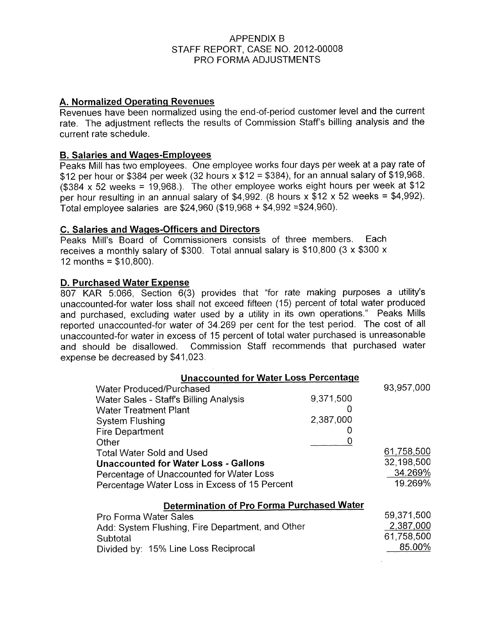# APPENDIX B PRO FORMA ADJUSTMENTS STAFF REPORT, CASE NO. 2012-00008

# **A. Normalized Operating Revenues**

Revenues have been normalized using the end-of-period customer level and the current rate. The adjustment reflects the results of Commission Staff's billing analysis and the current rate schedule.

### **B. Salaries and Wages-Employees**

Peaks Mill has two employees. One employee works four days per week at a pay rate of \$12 per hour or \$384 per week (32 hours  $x$  \$12 = \$384), for an annual salary of \$19,968. ( $$384 \times 52$  weeks = 19,968.). The other employee works eight hours per week at  $$12$ per hour resulting in an annual salary of \$4,992. (8 hours  $x$  \$12  $x$  52 weeks = \$4,992). Total employee salaries are \$24,960 (\$19,968 + \$4,992 ~\$24,960).

# **C. Salaries and WaQes-Officers and Directors**

Peaks Mill's Board of Commissioners consists of three members. Each receives a monthly salary of \$300. Total annual salary is \$10,800 (3 x \$300 x 12 months =  $$10,800$ ).

# **D. Purchased Water Expense**

807 KAR 5:066, Section 6(3) provides that "for rate making purposes a utility's unaccounted-for water loss shall not exceed fifteen (15) percent of total water produced and purchased, excluding water used by a utility in its own operations." Peaks Mills reported unaccounted-for water of 34.269 per cent for the test period. The cost of all unaccounted-for water in excess of 15 percent of total water purchased is unreasonable and should be disallowed. Commission Staff recommends that purchased water expense be decreased by \$41,023.

| <b>Unaccounted for Water Loss Percentage</b>      |           |            |
|---------------------------------------------------|-----------|------------|
| <b>Water Produced/Purchased</b>                   |           | 93,957,000 |
| Water Sales - Staff's Billing Analysis            | 9,371,500 |            |
| <b>Water Treatment Plant</b>                      |           |            |
| <b>System Flushing</b>                            | 2,387,000 |            |
| <b>Fire Department</b>                            |           |            |
| Other                                             |           |            |
| <b>Total Water Sold and Used</b>                  |           | 61,758,500 |
| <b>Unaccounted for Water Loss - Gallons</b>       |           | 32,198,500 |
| Percentage of Unaccounted for Water Loss          |           | 34.269%    |
| Percentage Water Loss in Excess of 15 Percent     |           | 19.269%    |
|                                                   |           |            |
| <b>Determination of Pro Forma Purchased Water</b> |           |            |
| Pro Forma Water Sales                             |           | 59,371,500 |
| Add: System Flushing, Fire Department, and Other  |           | 2,387,000  |
| Subtotal                                          |           | 61,758,500 |
| Divided by: 15% Line Loss Reciprocal              |           | 85.00%     |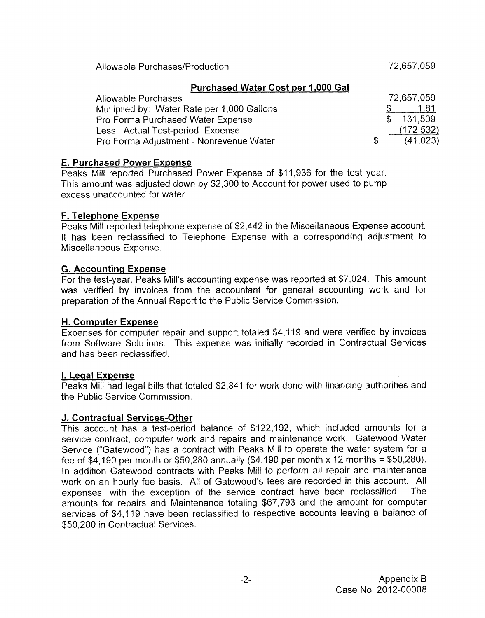Allowable Purchases/Production 22.657,059

|    | 72.657.059 |
|----|------------|
|    | 1.81       |
|    | \$131.509  |
|    | (172, 532) |
| S. | (41, 023)  |
|    |            |

# **E. Purchased Power Expense**

Peaks Mill reported Purchased Power Expense of \$11,936 for the test year. This amount was adjusted down by \$2,300 to Account for power used to pump excess unaccounted for water.

# **F. Telephone Expense**

Peaks Mill reported telephone expense of \$2,442 in the Miscellaneous Expense account. It has been reclassified to Telephone Expense with a corresponding adjustment to Miscellaneous Expense.

# **G. Accountinq Expense**

For the test-year, Peaks Mill's accounting expense was reported at \$7,024. This amount was verified by invoices from the accountant for general accounting work and for preparation of the Annual Report to the Public Service Commission.

### **H. Computer Expense**

Expenses for computer repair and support totaled \$4,119 and were verified by invoices from Software Solutions. ' This expense was initially recorded in Contractual Services and has been reclassified.

### **1. Legal Expense**

Peaks Mill had legal bills that totaled \$2,841 for work done with financing authorities and the Public Service Commission.

# **J. Contractual Services-Other**

This account has a test-period balance of \$122,192, which included amounts for a service contract, computer work and repairs and maintenance work. Gatewood Water Service ("Gatewood") has a contract with Peaks Mill to operate the water system for a fee of \$4,190 per month or \$50,280 annually (\$4,190 per month x 12 months = \$50,280). In addition Gatewaod contracts with Peaks Mill to perform all repair and maintenance work on an hourly fee basis. All of Gatewood's fees are recorded in this account. All expenses, with the exception of the service contract have been reclassified. The amounts for repairs and Maintenance totaling \$67,793 and the amount for computer services of \$4,119 have been reclassified to respective accounts leaving a balance of \$50,280 in Contractual Services.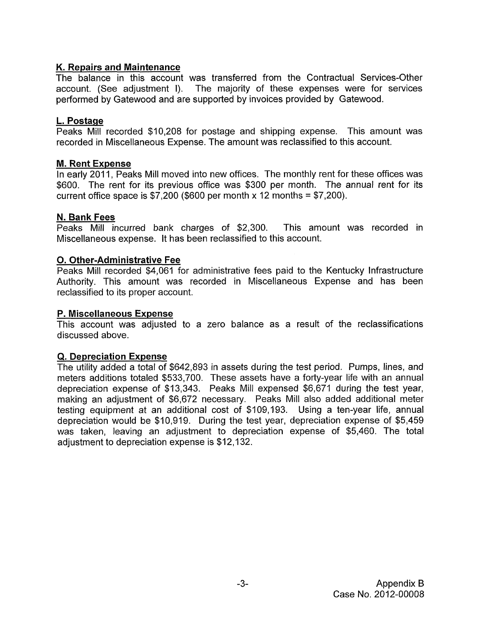# **K. Repairs and Maintenance**

The balance in this account was transferred from the Contractual Services-Other account. (See adjustment I). The majority of these expenses were for services performed by Gatewood and are supported by invoices provided by Gatewood.

# **L. Postaqe**

Peaks Mill recorded \$10,208 for postage and shipping expense. This amount was recorded in Miscellaneous Expense. The amount was reclassified to this account.

# **M. Rent Expense**

In early 2011, Peaks Mill moved into new offices. The monthly rent for these offices was \$600. The rent for its previous office was \$300 per month. The annual rent for its current office space is  $\frac{200}{500}$  (\$600 per month x 12 months = \$7,200).

# **N. Bank Fees**

Peaks Mill incurred bank charges of \$2,300. This amount was recorded in Miscellaneous expense. It has been reclassified to this account.

# **0. Other-Administrative Fee**

Peaks Mill recorded \$4,061 for administrative fees paid to the Kentucky Infrastructure Authority. This amount was recorded in Miscellaneous Expense and has been reclassified to its proper account.

# **P. Miscellaneous Expense**

This account was adjusted to a zero balance as a result of the reclassifications discussed above.

# **Q. Depreciation Expense**

The utility added a total of \$642,893 in assets during the test period. Pumps, lines, and meters additions totaled \$533,700. These assets have a forty-year life with an annual depreciation expense of \$13,343. Peaks Mill expensed \$6,671 during the test year, making an adjustment of \$6,672 necessary. Peaks Mill also added additional meter testing equipment at an additional cost of \$109,193. Using a ten-year life, annual depreciation would be \$10,919. During the test year, depreciation expense of \$5,459 was taken, leaving an adjustment to depreciation expense of \$5,460. The total adjustment to depreciation expense is \$12,132.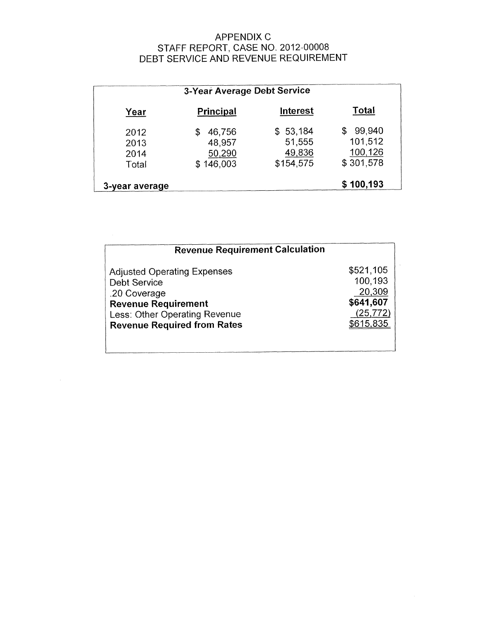# APPENDIX C DEBT SERVICE AND REVENUE REQUIREMENT STAFF REPORT, CASE NO. 2012-00008

| 3-Year Average Debt Service   |                                              |                                           |                                                 |
|-------------------------------|----------------------------------------------|-------------------------------------------|-------------------------------------------------|
| Year                          | <b>Principal</b>                             | Interest                                  | Total                                           |
| 2012<br>2013<br>2014<br>Total | 46,756<br>S<br>48,957<br>50,290<br>\$146,003 | \$53,184<br>51,555<br>49,836<br>\$154,575 | 99,940<br>\$<br>101,512<br>100,126<br>\$301,578 |
| 3-year average                |                                              |                                           | \$100,193                                       |

| <b>Revenue Requirement Calculation</b> |           |
|----------------------------------------|-----------|
| <b>Adjusted Operating Expenses</b>     | \$521,105 |
| <b>Debt Service</b>                    | 100,193   |
| .20 Coverage                           | 20,309    |
| <b>Revenue Requirement</b>             | \$641,607 |
| Less: Other Operating Revenue          | (25, 772) |
| <b>Revenue Required from Rates</b>     | \$615,835 |
|                                        |           |
|                                        |           |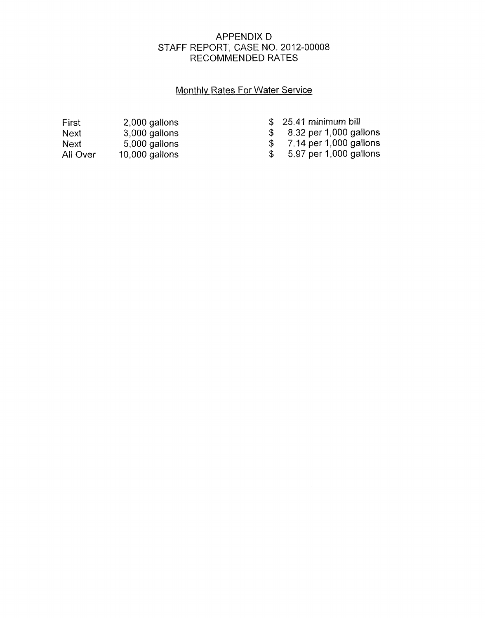# APPENDIX D RECOMMENDED RATES STAFF REPORT', CASE NO. 2012-00008

# Monthlv Rates For Water Service

| First    | 2,000 gallons    |
|----------|------------------|
| Next     | 3,000 gallons    |
| Next     | 5,000 gallons    |
| All Over | $10,000$ gallons |

\$ 25.41 minimum bill<br>\$ 8.32 per 1,000 gal<br>\$ 7.14 per 1,000 gal<br>\$ 5.97 per 1,000 gal \$ 8.32 per 1,000 gallons

\$ 7.14 per 1,000 gallons

\$ 5.97 per 1,000 gallons